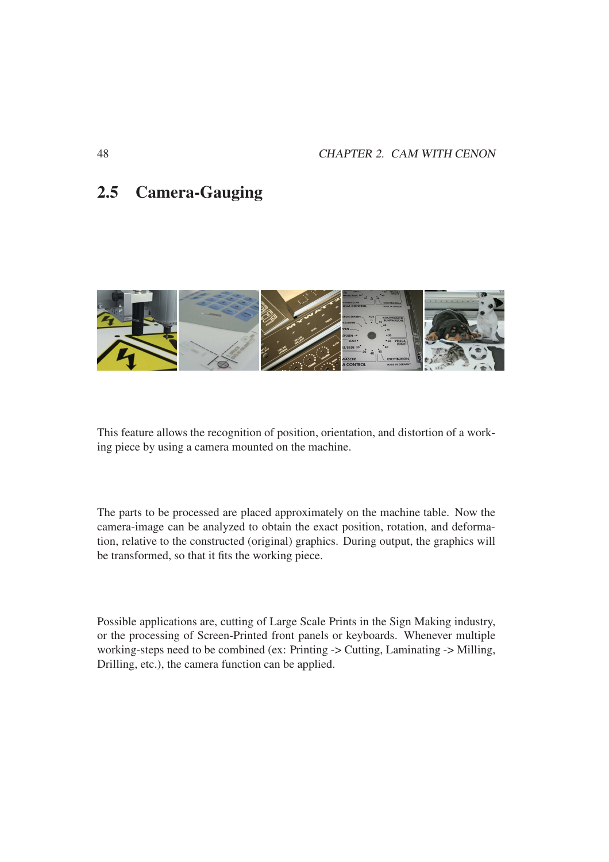# 2.5 Camera-Gauging



This feature allows the recognition of position, orientation, and distortion of a working piece by using a camera mounted on the machine.

The parts to be processed are placed approximately on the machine table. Now the camera-image can be analyzed to obtain the exact position, rotation, and deformation, relative to the constructed (original) graphics. During output, the graphics will be transformed, so that it fits the working piece.

Possible applications are, cutting of Large Scale Prints in the Sign Making industry, or the processing of Screen-Printed front panels or keyboards. Whenever multiple working-steps need to be combined (ex: Printing -> Cutting, Laminating -> Milling, Drilling, etc.), the camera function can be applied.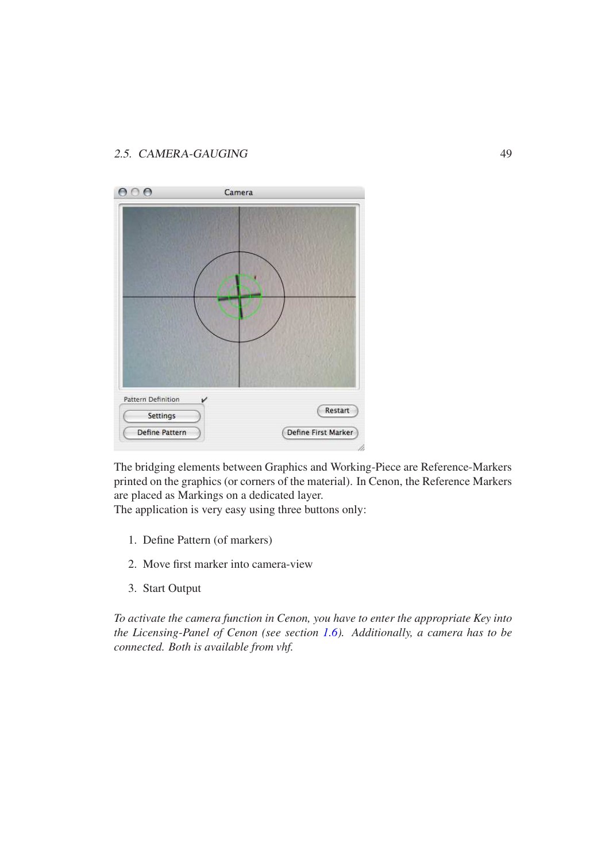| $\circ$<br>$\odot$                    | Camera |                     |
|---------------------------------------|--------|---------------------|
|                                       |        |                     |
| <b>Pattern Definition</b><br>Settings | v      | Restart             |
| Define Pattern                        |        | Define First Marker |

The bridging elements between Graphics and Working-Piece are Reference-Markers printed on the graphics (or corners of the material). In Cenon, the Reference Markers are placed as Markings on a dedicated layer.

The application is very easy using three buttons only:

- 1. Define Pattern (of markers)
- 2. Move first marker into camera-view
- 3. Start Output

*To activate the camera function in Cenon, you have to enter the appropriate Key into the Licensing-Panel of Cenon (see section 1.6). Additionally, a camera has to be connected. Both is available from vhf.*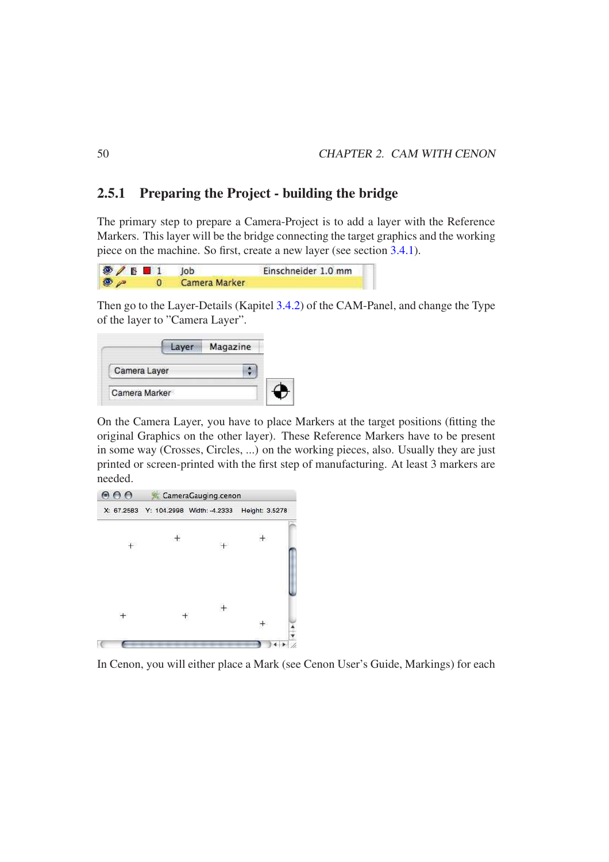## 2.5.1 Preparing the Project - building the bridge

The primary step to prepare a Camera-Project is to add a layer with the Reference Markers. This layer will be the bridge connecting the target graphics and the working piece on the machine. So first, create a new layer (see section 3.4.1).

| $\bigcirc$ B B 1 Job |               | Einschneider 1.0 mm |
|----------------------|---------------|---------------------|
| $\bullet$            | Camera Marker |                     |

Then go to the Layer-Details (Kapitel 3.4.2) of the CAM-Panel, and change the Type of the layer to "Camera Layer".

|               | <b>Magazine</b> |  |
|---------------|-----------------|--|
| Camera Layer  |                 |  |
| Camera Marker |                 |  |

On the Camera Layer, you have to place Markers at the target positions (fitting the original Graphics on the other layer). These Reference Markers have to be present in some way (Crosses, Circles, ...) on the working pieces, also. Usually they are just printed or screen-printed with the first step of manufacturing. At least 3 markers are needed.



In Cenon, you will either place a Mark (see Cenon User's Guide, Markings) for each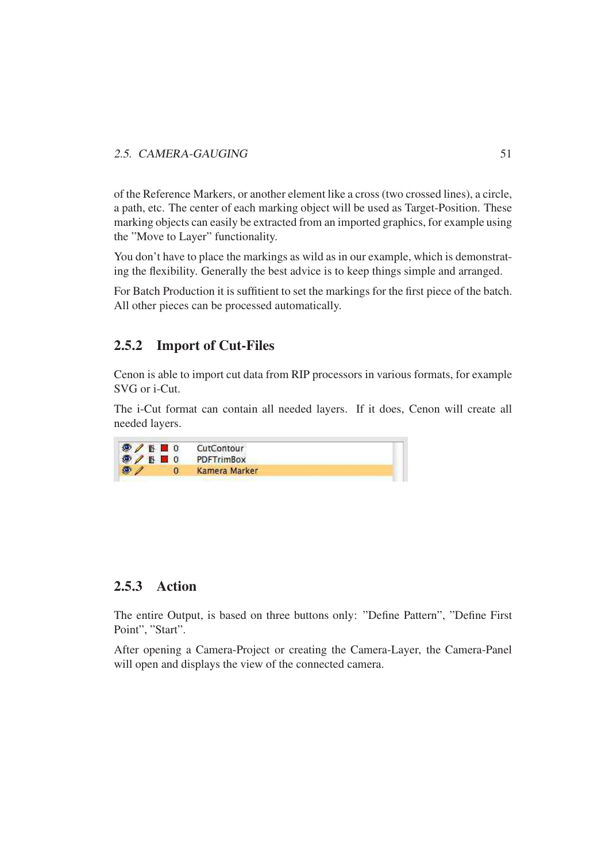of the Reference Markers, or another element like a cross (two crossed lines), a circle, a path, etc. The center of each marking object will be used as Target-Position. These marking objects can easily be extracted from an imported graphics, for example using the "Move to Layer" functionality.

You don't have to place the markings as wild as in our example, which is demonstrating the flexibility. Generally the best advice is to keep things simple and arranged.

For Batch Production it is suffitient to set the markings for the first piece of the batch. All other pieces can be processed automatically.

# 2.5.2 Import of Cut-Files

Cenon is able to import cut data from RIP processors in various formats, for example SVG or i-Cut.

The i-Cut format can contain all needed layers. If it does, Cenon will create all needed layers.



# 2.5.3 Action

The entire Output, is based on three buttons only: "Define Pattern", "Define First Point", "Start".

After opening a Camera-Project or creating the Camera-Layer, the Camera-Panel will open and displays the view of the connected camera.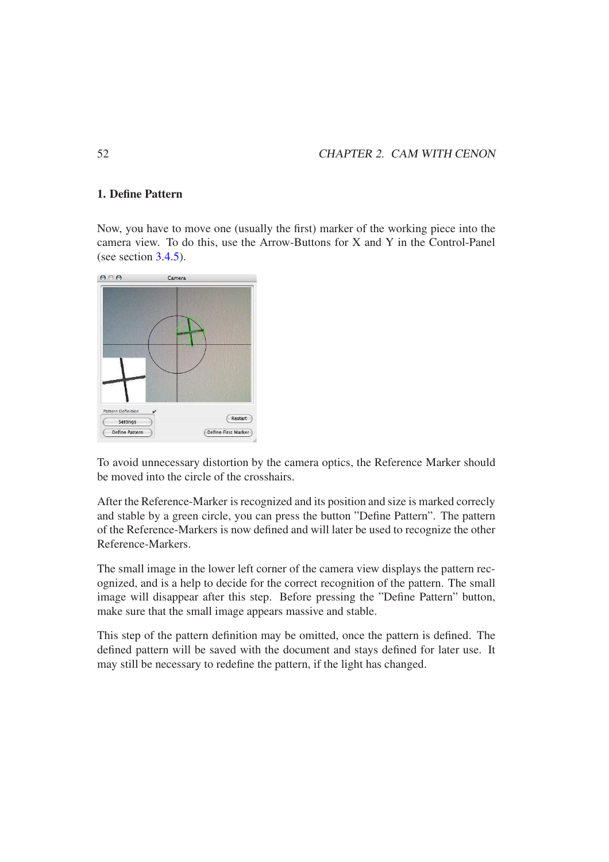#### 1. Define Pattern

Now, you have to move one (usually the first) marker of the working piece into the camera view. To do this, use the Arrow-Buttons for X and Y in the Control-Panel (see section 3.4.5).



To avoid unnecessary distortion by the camera optics, the Reference Marker should be moved into the circle of the crosshairs.

After the Reference-Marker is recognized and its position and size is marked correcly and stable by a green circle, you can press the button "Define Pattern". The pattern of the Reference-Markers is now defined and will later be used to recognize the other Reference-Markers.

The small image in the lower left corner of the camera view displays the pattern recognized, and is a help to decide for the correct recognition of the pattern. The small image will disappear after this step. Before pressing the "Define Pattern" button, make sure that the small image appears massive and stable.

This step of the pattern definition may be omitted, once the pattern is defined. The defined pattern will be saved with the document and stays defined for later use. It may still be necessary to redefine the pattern, if the light has changed.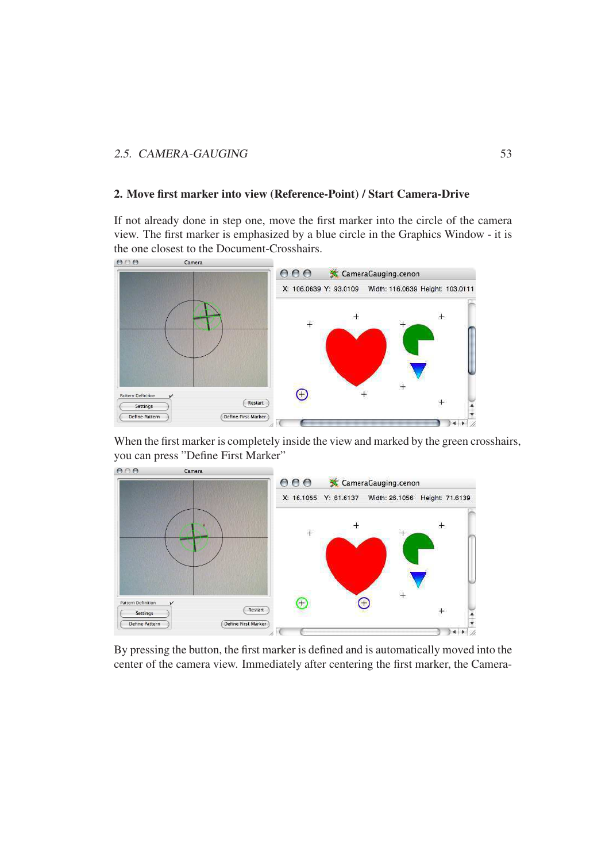#### 2. Move first marker into view (Reference-Point) / Start Camera-Drive

If not already done in step one, move the first marker into the circle of the camera view. The first marker is emphasized by a blue circle in the Graphics Window - it is the one closest to the Document-Crosshairs.



When the first marker is completely inside the view and marked by the green crosshairs, you can press "Define First Marker"



By pressing the button, the first marker is defined and is automatically moved into the center of the camera view. Immediately after centering the first marker, the Camera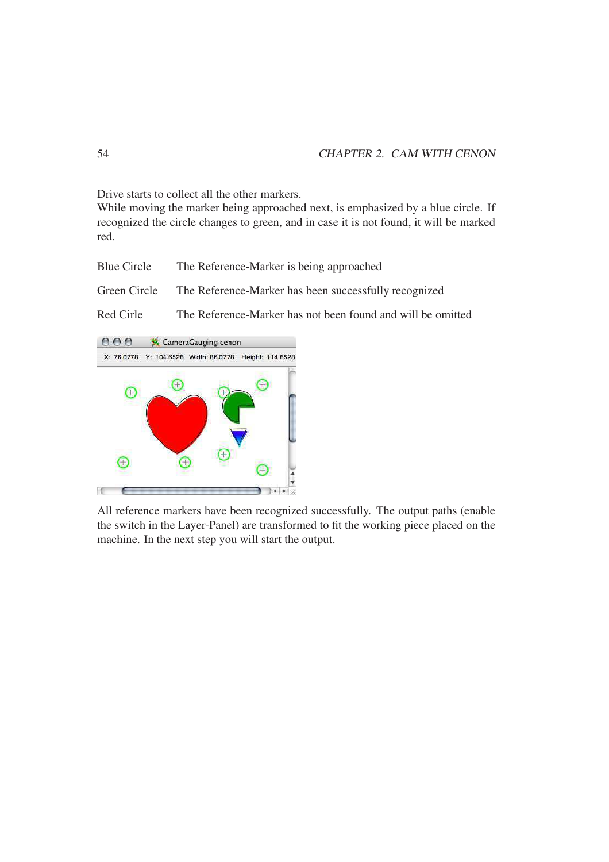Drive starts to collect all the other markers.

While moving the marker being approached next, is emphasized by a blue circle. If recognized the circle changes to green, and in case it is not found, it will be marked red.

Blue Circle The Reference-Marker is being approached

Green Circle The Reference-Marker has been successfully recognized

Red Cirle The Reference-Marker has not been found and will be omitted



All reference markers have been recognized successfully. The output paths (enable the switch in the Layer-Panel) are transformed to fit the working piece placed on the machine. In the next step you will start the output.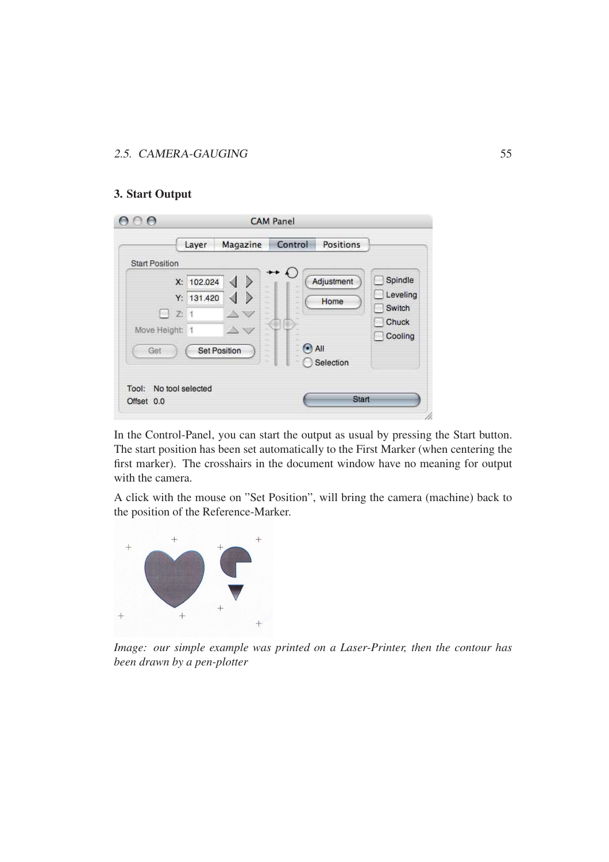#### 3. Start Output

|                                                 | Magazine<br>Layer                                                                                                                                                                                                            | Positions<br>Control                          |                               |
|-------------------------------------------------|------------------------------------------------------------------------------------------------------------------------------------------------------------------------------------------------------------------------------|-----------------------------------------------|-------------------------------|
| <b>Start Position</b>                           |                                                                                                                                                                                                                              |                                               |                               |
| Y:                                              | $\rightarrow$<br>X: 102.024<br>∢<br>∢<br>$\rightarrow$<br>131.420                                                                                                                                                            | $\rightarrow$ $\bullet$<br>Adjustment<br>Home | Spindle<br>Leveling<br>Switch |
| $\Box$ Z<br>1<br>Move Height:<br>$\overline{1}$ | $\triangle$                                                                                                                                                                                                                  |                                               | Chuck<br>Cooling              |
| Get                                             | <b>Set Position</b><br>$\frac{1}{2} \left( \frac{1}{2} \right) \left( \frac{1}{2} \right) \left( \frac{1}{2} \right)$<br>$\frac{1}{2} \left( \frac{1}{2} \right) \left( \frac{1}{2} \right) \left( \frac{1}{2} \right)$<br>- | $\bullet$ All<br>Selection                    |                               |
| No tool selected<br>Tool:                       |                                                                                                                                                                                                                              |                                               |                               |

In the Control-Panel, you can start the output as usual by pressing the Start button. The start position has been set automatically to the First Marker (when centering the first marker). The crosshairs in the document window have no meaning for output with the camera.

A click with the mouse on "Set Position", will bring the camera (machine) back to the position of the Reference-Marker.



*Image: our simple example was printed on a Laser-Printer, then the contour has been drawn by a pen-plotter*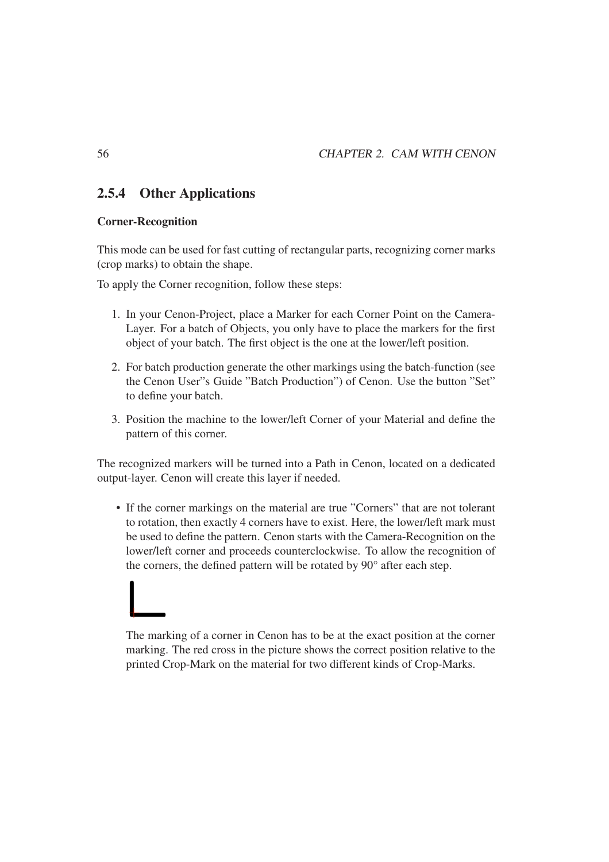# 2.5.4 Other Applications

#### Corner-Recognition

This mode can be used for fast cutting of rectangular parts, recognizing corner marks (crop marks) to obtain the shape.

To apply the Corner recognition, follow these steps:

- 1. In your Cenon-Project, place a Marker for each Corner Point on the Camera-Layer. For a batch of Objects, you only have to place the markers for the first object of your batch. The first object is the one at the lower/left position.
- 2. For batch production generate the other markings using the batch-function (see the Cenon User"s Guide "Batch Production") of Cenon. Use the button "Set" to define your batch.
- 3. Position the machine to the lower/left Corner of your Material and define the pattern of this corner.

The recognized markers will be turned into a Path in Cenon, located on a dedicated output-layer. Cenon will create this layer if needed.

• If the corner markings on the material are true "Corners" that are not tolerant to rotation, then exactly 4 corners have to exist. Here, the lower/left mark must be used to define the pattern. Cenon starts with the Camera-Recognition on the lower/left corner and proceeds counterclockwise. To allow the recognition of the corners, the defined pattern will be rotated by 90° after each step.



The marking of a corner in Cenon has to be at the exact position at the corner marking. The red cross in the picture shows the correct position relative to the printed Crop-Mark on the material for two different kinds of Crop-Marks.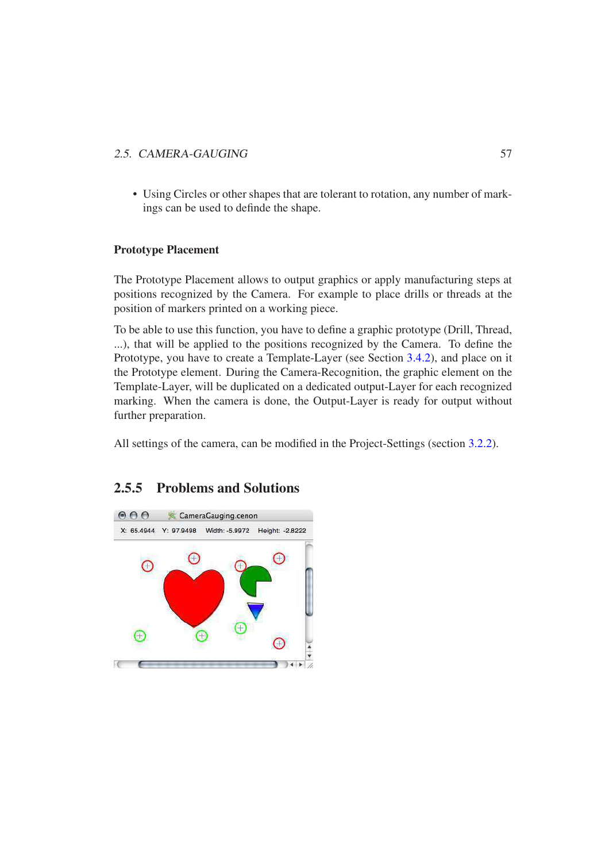• Using Circles or other shapes that are tolerant to rotation, any number of markings can be used to definde the shape.

#### Prototype Placement

The Prototype Placement allows to output graphics or apply manufacturing steps at positions recognized by the Camera. For example to place drills or threads at the position of markers printed on a working piece.

To be able to use this function, you have to define a graphic prototype (Drill, Thread, ...), that will be applied to the positions recognized by the Camera. To define the Prototype, you have to create a Template-Layer (see Section 3.4.2), and place on it the Prototype element. During the Camera-Recognition, the graphic element on the Template-Layer, will be duplicated on a dedicated output-Layer for each recognized marking. When the camera is done, the Output-Layer is ready for output without further preparation.

All settings of the camera, can be modified in the Project-Settings (section 3.2.2).

# 2.5.5 Problems and Solutions

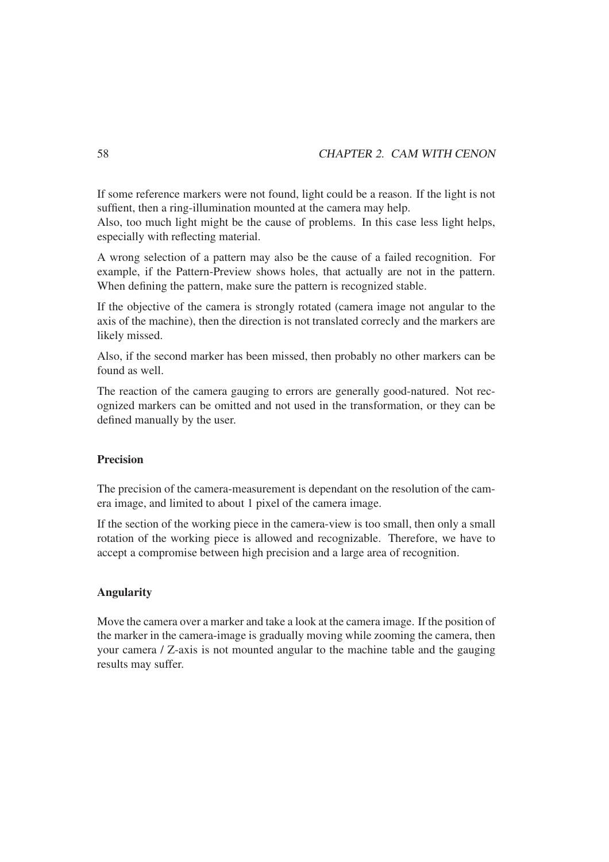If some reference markers were not found, light could be a reason. If the light is not suffient, then a ring-illumination mounted at the camera may help.

Also, too much light might be the cause of problems. In this case less light helps, especially with reflecting material.

A wrong selection of a pattern may also be the cause of a failed recognition. For example, if the Pattern-Preview shows holes, that actually are not in the pattern. When defining the pattern, make sure the pattern is recognized stable.

If the objective of the camera is strongly rotated (camera image not angular to the axis of the machine), then the direction is not translated correcly and the markers are likely missed.

Also, if the second marker has been missed, then probably no other markers can be found as well.

The reaction of the camera gauging to errors are generally good-natured. Not recognized markers can be omitted and not used in the transformation, or they can be defined manually by the user.

#### Precision

The precision of the camera-measurement is dependant on the resolution of the camera image, and limited to about 1 pixel of the camera image.

If the section of the working piece in the camera-view is too small, then only a small rotation of the working piece is allowed and recognizable. Therefore, we have to accept a compromise between high precision and a large area of recognition.

#### Angularity

Move the camera over a marker and take a look at the camera image. If the position of the marker in the camera-image is gradually moving while zooming the camera, then your camera / Z-axis is not mounted angular to the machine table and the gauging results may suffer.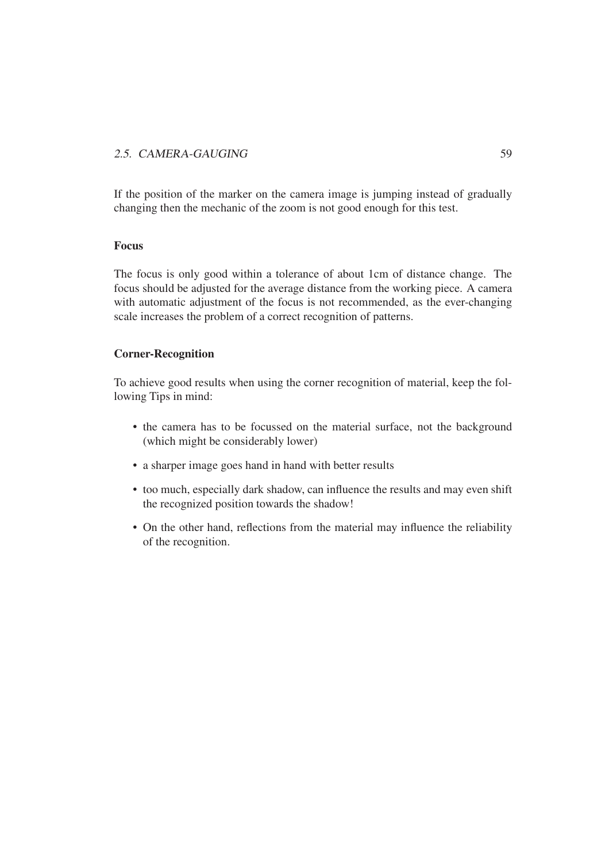If the position of the marker on the camera image is jumping instead of gradually changing then the mechanic of the zoom is not good enough for this test.

#### Focus

The focus is only good within a tolerance of about 1cm of distance change. The focus should be adjusted for the average distance from the working piece. A camera with automatic adjustment of the focus is not recommended, as the ever-changing scale increases the problem of a correct recognition of patterns.

#### Corner-Recognition

To achieve good results when using the corner recognition of material, keep the following Tips in mind:

- the camera has to be focussed on the material surface, not the background (which might be considerably lower)
- a sharper image goes hand in hand with better results
- too much, especially dark shadow, can influence the results and may even shift the recognized position towards the shadow!
- On the other hand, reflections from the material may influence the reliability of the recognition.